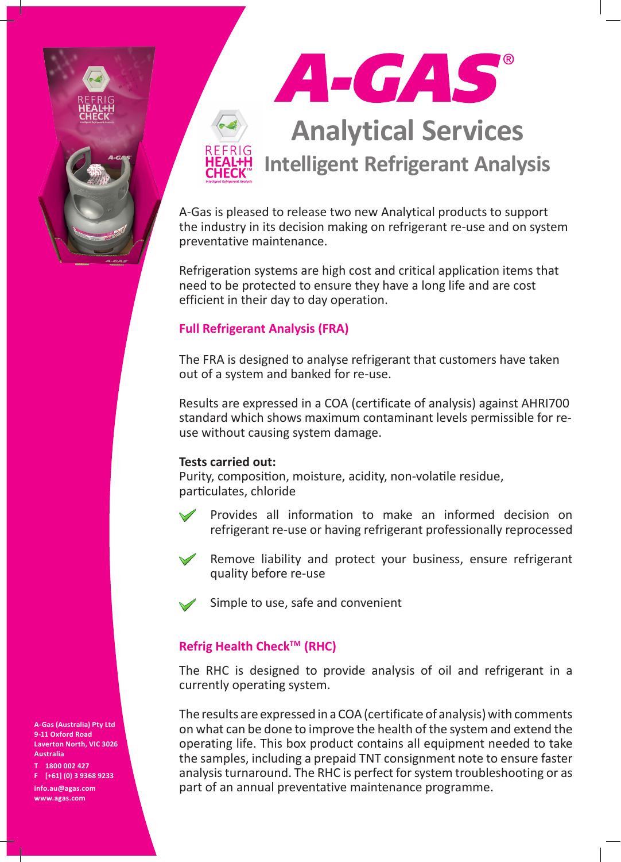



A-Gas is pleased to release two new Analytical products to support the industry in its decision making on refrigerant re-use and on system preventative maintenance.

Refrigeration systems are high cost and critical application items that need to be protected to ensure they have a long life and are cost efficient in their day to day operation.

## **Full Refrigerant Analysis (FRA)**

The FRA is designed to analyse refrigerant that customers have taken out of a system and banked for re-use.

Results are expressed in a COA (certificate of analysis) against AHRI700 standard which shows maximum contaminant levels permissible for reuse without causing system damage.

## **Tests carried out:**

Purity, composition, moisture, acidity, non-volatile residue, particulates, chloride



Provides all information to make an informed decision on refrigerant re-use or having refrigerant professionally reprocessed



Remove liability and protect your business, ensure refrigerant quality before re-use



Simple to use, safe and convenient

## **Refrig Health Check™ (RHC)**

The RHC is designed to provide analysis of oil and refrigerant in a currently operating system.

The results are expressed in a COA (certificate of analysis) with comments on what can be done to improve the health of the system and extend the operating life. This box product contains all equipment needed to take the samples, including a prepaid TNT consignment note to ensure faster analysis turnaround. The RHC is perfect for system troubleshooting or as part of an annual preventative maintenance programme.

**A-Gas (Australia) Pty Ltd 9-11 Oxford Road Laverton North, VIC 3026 Australia**

**T 1800 002 427 F [+61] (0) 3 9368 9233 info.au@agas.com www.agas.com**